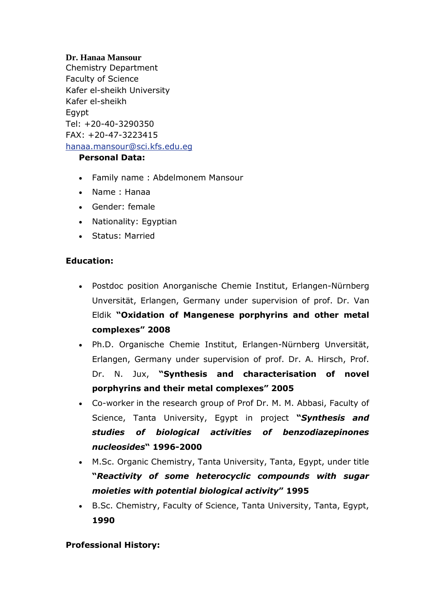## **Dr. Hanaa Mansour**

Chemistry Department Faculty of Science Kafer el-sheikh University Kafer el-sheikh Egypt Tel: +20-40-3290350 FAX: +20-47-3223415 [hanaa.mansour@sci.kfs.edu.eg](mailto:hanaa.mansour@sci.kfs.edu.eg)

## **Personal Data:**

- Family name : Abdelmonem Mansour
- Name : Hanaa
- Gender: female
- Nationality: Egyptian
- Status: Married

#### **Education:**

- Postdoc position Anorganische Chemie Institut, Erlangen-Nürnberg Unversität, Erlangen, Germany under supervision of prof. Dr. Van Eldik **"Oxidation of Mangenese porphyrins and other metal complexes" 2008**
- Ph.D. Organische Chemie Institut, Erlangen-Nürnberg Unversität, Erlangen, Germany under supervision of prof. Dr. A. Hirsch, Prof. Dr. N. Jux, **"Synthesis and characterisation of novel porphyrins and their metal complexes" 2005**
- Co-worker in the research group of Prof Dr. M. M. Abbasi, Faculty of Science, Tanta University, Egypt in project **"***Synthesis and studies of biological activities of benzodiazepinones nucleosides***" 1996-2000**
- M.Sc. Organic Chemistry, Tanta University, Tanta, Egypt, under title **"***Reactivity of some heterocyclic compounds with sugar moieties with potential biological activity***" 1995**
- B.Sc. Chemistry, Faculty of Science, Tanta University, Tanta, Egypt, **1990**

## **Professional History:**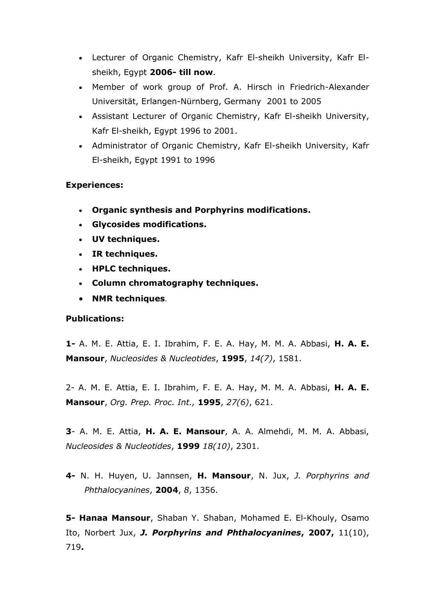- Lecturer of Organic Chemistry, Kafr El-sheikh University, Kafr Elsheikh, Egypt **2006- till now**.
- Member of work group of Prof. A. Hirsch in Friedrich-Alexander Universität, Erlangen-Nürnberg, Germany 2001 to 2005
- Assistant Lecturer of Organic Chemistry, Kafr El-sheikh University, Kafr El-sheikh, Egypt 1996 to 2001.
- Administrator of Organic Chemistry, Kafr El-sheikh University, Kafr El-sheikh, Egypt 1991 to 1996

#### **Experiences:**

- **Organic synthesis and Porphyrins modifications.**
- **Glycosides modifications.**
- **UV techniques.**
- **IR techniques.**
- **HPLC techniques.**
- **Column chromatography techniques.**
- **NMR techniques**.

#### **Publications:**

**1-** A. M. E. Attia, E. I. Ibrahim, F. E. A. Hay, M. M. A. Abbasi, **H. A. E. Mansour**, *Nucleosides & Nucleotides*, **1995**, *14(7)*, 1581.

2- A. M. E. Attia, E. I. Ibrahim, F. E. A. Hay, M. M. A. Abbasi, **H. A. E. Mansour**, *Org. Prep. Proc. Int.,* **1995**, *27(6)*, 621.

**3**- A. M. E. Attia, **H. A. E. Mansour**, A. A. Almehdi, M. M. A. Abbasi, *Nucleosides & Nucleotides*, **1999** *18(10)*, 2301.

**4-** N. H. Huyen, U. Jannsen, **H. Mansour**, N. Jux, *J. Porphyrins and Phthalocyanines*, **2004**, *8*, 1356.

**5- Hanaa Mansour**, Shaban Y. Shaban, Mohamed E. El-Khouly, Osamo Ito, Norbert Jux, *J. Porphyrins and Phthalocyanines***, 2007,** 11(10), 719**.**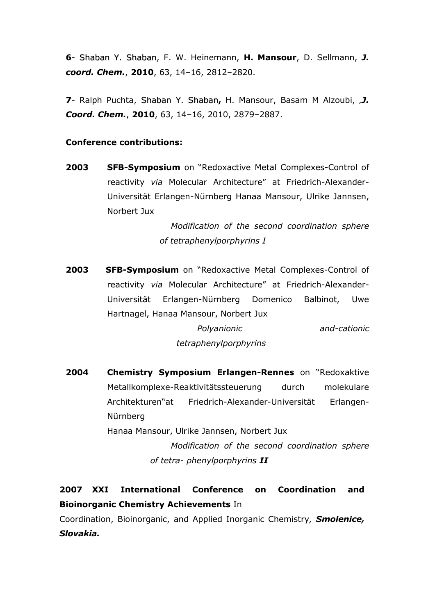**6**- Shaban Y. Shaban, F. W. Heinemann, **H. Mansour**, D. Sellmann, *J. coord. Chem.*, **2010**, 63, 14–16, 2812–2820.

**7**- Ralph Puchta, Shaban Y. Shaban**,** H. Mansour, Basam M Alzoubi, '*J. Coord. Chem.*, **2010**, 63, 14–16, 2010, 2879–2887.

#### **Conference contributions:**

**2003 SFB-Symposium** on "Redoxactive Metal Complexes-Control of reactivity *via* Molecular Architecture" at Friedrich-Alexander-Universität Erlangen-Nürnberg Hanaa Mansour, Ulrike Jannsen, Norbert Jux

> *Modification of the second coordination sphere of tetraphenylporphyrins I*

**2003 SFB-Symposium** on "Redoxactive Metal Complexes-Control of reactivity *via* Molecular Architecture" at Friedrich-Alexander-Universität Erlangen-Nürnberg Domenico Balbinot, Uwe Hartnagel, Hanaa Mansour, Norbert Jux

> *Polyanionic and-cationic tetraphenylporphyrins*

**2004 Chemistry Symposium Erlangen-Rennes** on "Redoxaktive Metallkomplexe-Reaktivitätssteuerung durch molekulare Architekturen"at Friedrich-Alexander-Universität Erlangen-Nürnberg Hanaa Mansour, Ulrike Jannsen, Norbert Jux *Modification of the second coordination sphere* 

*of tetra- phenylporphyrins II*

# **2007 XXI International Conference on Coordination and Bioinorganic Chemistry Achievements** In

Coordination, Bioinorganic, and Applied Inorganic Chemistry*, Smolenice, Slovakia.*